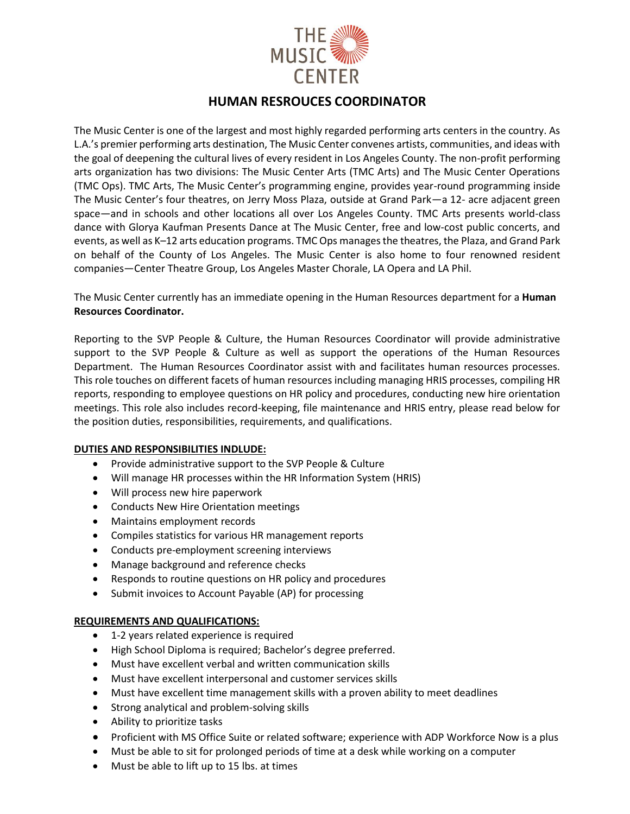

# **HUMAN RESROUCES COORDINATOR**

The Music Center is one of the largest and most highly regarded performing arts centers in the country. As L.A.'s premier performing arts destination, The Music Center convenes artists, communities, and ideas with the goal of deepening the cultural lives of every resident in Los Angeles County. The non-profit performing arts organization has two divisions: The Music Center Arts (TMC Arts) and The Music Center Operations (TMC Ops). TMC Arts, The Music Center's programming engine, provides year-round programming inside The Music Center's four theatres, on Jerry Moss Plaza, outside at Grand Park—a 12- acre adjacent green space—and in schools and other locations all over Los Angeles County. TMC Arts presents world-class dance with Glorya Kaufman Presents Dance at The Music Center, free and low-cost public concerts, and events, as well as K–12 arts education programs. TMC Ops manages the theatres, the Plaza, and Grand Park on behalf of the County of Los Angeles. The Music Center is also home to four renowned resident companies—Center Theatre Group, Los Angeles Master Chorale, LA Opera and LA Phil.

The Music Center currently has an immediate opening in the Human Resources department for a **Human Resources Coordinator.**

Reporting to the SVP People & Culture, the Human Resources Coordinator will provide administrative support to the SVP People & Culture as well as support the operations of the Human Resources Department. The Human Resources Coordinator assist with and facilitates human resources processes. This role touches on different facets of human resources including managing HRIS processes, compiling HR reports, responding to employee questions on HR policy and procedures, conducting new hire orientation meetings. This role also includes record-keeping, file maintenance and HRIS entry, please read below for the position duties, responsibilities, requirements, and qualifications.

#### **DUTIES AND RESPONSIBILITIES INDLUDE:**

- Provide administrative support to the SVP People & Culture
- Will manage HR processes within the HR Information System (HRIS)
- Will process new hire paperwork
- Conducts New Hire Orientation meetings
- Maintains employment records
- Compiles statistics for various HR management reports
- Conducts pre-employment screening interviews
- Manage background and reference checks
- Responds to routine questions on HR policy and procedures
- Submit invoices to Account Payable (AP) for processing

# **REQUIREMENTS AND QUALIFICATIONS:**

- 1-2 years related experience is required
- High School Diploma is required; Bachelor's degree preferred.
- Must have excellent verbal and written communication skills
- Must have excellent interpersonal and customer services skills
- Must have excellent time management skills with a proven ability to meet deadlines
- Strong analytical and problem-solving skills
- Ability to prioritize tasks
- Proficient with MS Office Suite or related software; experience with ADP Workforce Now is a plus
- Must be able to sit for prolonged periods of time at a desk while working on a computer
- Must be able to lift up to 15 lbs. at times